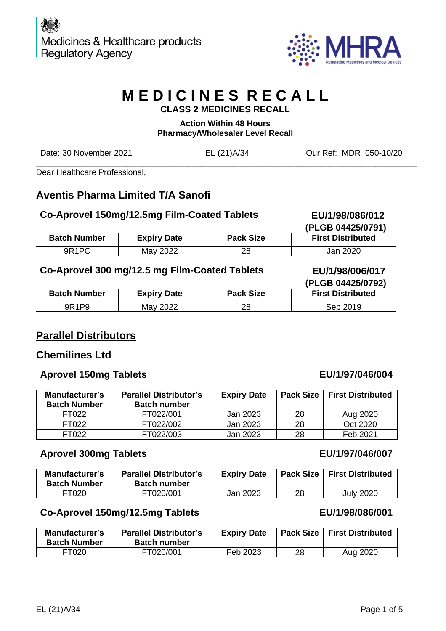

# **M E D I C I N E S R E C A L L CLASS 2 MEDICINES RECALL**

# **Action Within 48 Hours Pharmacy/Wholesaler Level Recall**

Date: 30 November 2021 EL (21)A/34 Our Ref: MDR 050-10/20

\_\_\_\_\_\_\_\_\_\_\_\_\_\_\_\_\_\_\_\_\_\_\_\_\_\_\_\_\_\_\_\_\_\_\_\_\_\_\_\_\_\_\_\_\_\_\_\_\_\_\_\_\_\_\_\_\_\_\_\_\_\_\_\_\_\_\_\_\_\_\_\_\_\_\_\_\_\_\_\_\_\_\_

Dear Healthcare Professional,

# **Aventis Pharma Limited T/A Sanofi**

#### **Co-Aprovel 150mg/12.5mg Film-Coated Tablets EU/1/98/086/012**

 **(PLGB 04425/0791) Batch Number Expiry Date Pack Size First Distributed** 9R1PC | May 2022 | 28 | Jan 2020

#### **Co-Aprovel 300 mg/12.5 mg Film-Coated Tablets EU/1/98/006/017**

|                                |                    |                  | (PLGB 04425/0792)        |
|--------------------------------|--------------------|------------------|--------------------------|
| <b>Batch Number</b>            | <b>Expiry Date</b> | <b>Pack Size</b> | <b>First Distributed</b> |
| 9R <sub>1</sub> P <sub>9</sub> | May 2022           | 28               | Sep 2019                 |

# **Parallel Distributors**

# **Chemilines Ltd**

#### **Aprovel 150mg Tablets EU/1/97/046/004**

| <b>Manufacturer's</b><br><b>Batch Number</b> | <b>Parallel Distributor's</b><br><b>Batch number</b> | <b>Expiry Date</b> |     | Pack Size   First Distributed |
|----------------------------------------------|------------------------------------------------------|--------------------|-----|-------------------------------|
| FT022                                        | FT022/001                                            | Jan 2023           | 28  | Aug 2020                      |
| FT022                                        | FT022/002                                            | Jan 2023           | -28 | Oct 2020                      |
| FT022                                        | FT022/003                                            | Jan 2023           | 28  | Feb 2021                      |

#### **Aprovel 300mg Tablets EU/1/97/046/007**

| Manufacturer's<br><b>Batch Number</b> | <b>Parallel Distributor's</b><br><b>Batch number</b> | <b>Expiry Date</b> |    | <b>Pack Size   First Distributed</b> |
|---------------------------------------|------------------------------------------------------|--------------------|----|--------------------------------------|
| FT020                                 | FT020/001                                            | Jan 2023           | 28 | <b>July 2020</b>                     |

# **Co-Aprovel 150mg/12.5mg Tablets**

#### **Manufacturer's Batch Number Parallel Distributor's Batch number Expiry Date Pack Size First Distributed** FT020 | FT020/001 | Feb 2023 | 28 | Aug 2020

 **EU/1/98/086/001**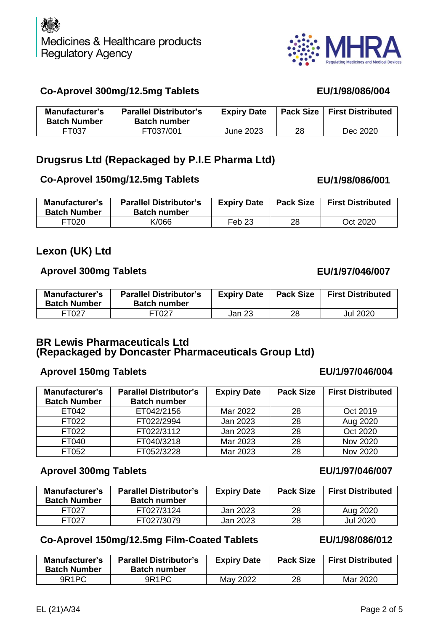

# **Co-Aprovel 300mg/12.5mg Tablets EU/1/98/086/004**

| Manufacturer's<br><b>Batch Number</b> | <b>Parallel Distributor's</b><br><b>Batch number</b> | <b>Expiry Date</b> |    | <b>Pack Size   First Distributed</b> |
|---------------------------------------|------------------------------------------------------|--------------------|----|--------------------------------------|
| FT037                                 | FT037/001                                            | June 2023          | 28 | Dec 2020                             |

# **Drugsrus Ltd (Repackaged by P.I.E Pharma Ltd)**

### **Co-Aprovel 150mg/12.5mg Tablets EU/1/98/086/001**

| Manufacturer's<br><b>Batch Number</b> | <b>Parallel Distributor's</b><br><b>Batch number</b> | <b>Expiry Date</b> | <b>Pack Size</b> | <b>First Distributed</b> |
|---------------------------------------|------------------------------------------------------|--------------------|------------------|--------------------------|
| FT020                                 | K/066                                                | Feb 23             | 28               | Oct 2020                 |

# **Lexon (UK) Ltd**

# **Aprovel 300mg Tablets EU/1/97/046/007**

| <b>Manufacturer's</b><br><b>Batch Number</b> | <b>Parallel Distributor's</b><br><b>Batch number</b> | <b>Expiry Date</b> | <b>Pack Size</b> | <b>First Distributed</b> |
|----------------------------------------------|------------------------------------------------------|--------------------|------------------|--------------------------|
| FT027                                        | FT027                                                | Jan 23             | 28               | Jul 2020                 |

### **BR Lewis Pharmaceuticals Ltd (Repackaged by Doncaster Pharmaceuticals Group Ltd)**

### **Aprovel 150mg Tablets EU/1/97/046/004**

| Manufacturer's      | <b>Parallel Distributor's</b> | <b>Expiry Date</b> | <b>Pack Size</b> | <b>First Distributed</b> |
|---------------------|-------------------------------|--------------------|------------------|--------------------------|
| <b>Batch Number</b> | <b>Batch number</b>           |                    |                  |                          |
| ET042               | ET042/2156                    | Mar 2022           | 28               | Oct 2019                 |
| FT022               | FT022/2994                    | Jan 2023           | 28               | Aug 2020                 |
| FT022               | FT022/3112                    | Jan 2023           | 28               | Oct 2020                 |
| FT040               | FT040/3218                    | Mar 2023           | 28               | Nov 2020                 |
| FT052               | FT052/3228                    | Mar 2023           | 28               | Nov 2020                 |

# **Aprovel 300mg Tablets EU/1/97/046/007**

| Manufacturer's<br><b>Batch Number</b> | <b>Parallel Distributor's</b><br><b>Batch number</b> | <b>Expiry Date</b> | <b>Pack Size</b> | <b>First Distributed</b> |
|---------------------------------------|------------------------------------------------------|--------------------|------------------|--------------------------|
| FT027                                 | FT027/3124                                           | Jan 2023           | 28               | Aug 2020                 |
| FT027                                 | FT027/3079                                           | Jan 2023           | 28               | <b>Jul 2020</b>          |

# **Co-Aprovel 150mg/12.5mg Film-Coated Tablets**

| <b>Manufacturer's</b><br><b>Batch Number</b> | <b>Parallel Distributor's</b><br><b>Batch number</b> | <b>Expiry Date</b> | <b>Pack Size</b> | <b>First Distributed</b> |
|----------------------------------------------|------------------------------------------------------|--------------------|------------------|--------------------------|
| 9R <sub>1</sub> PC                           | 9R <sub>1</sub> PC                                   | May 2022           | 28               | Mar 2020                 |

#### EL (21)A/34 Page 2 of 5

**ALL** 

|--|--|--|

 $\mathbf{A}$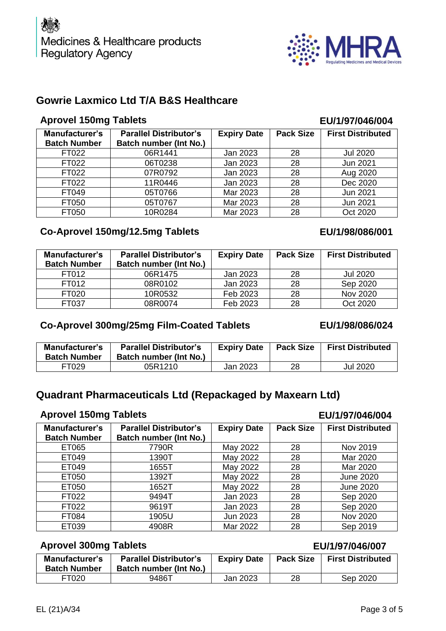

# **Gowrie Laxmico Ltd T/A B&S Healthcare**

# **Aprovel 150mg Tablets EU/1/97/046/004**

| <b>Manufacturer's</b><br><b>Batch Number</b> | <b>Parallel Distributor's</b><br><b>Batch number (Int No.)</b> | <b>Expiry Date</b> | <b>Pack Size</b> | <b>First Distributed</b> |
|----------------------------------------------|----------------------------------------------------------------|--------------------|------------------|--------------------------|
| FT022                                        | 06R1441                                                        | Jan 2023           | 28               | <b>Jul 2020</b>          |
| FT022                                        | 06T0238                                                        | Jan 2023           | 28               | <b>Jun 2021</b>          |
| FT022                                        | 07R0792                                                        | Jan 2023           | 28               | Aug 2020                 |
| FT022                                        | 11R0446                                                        | Jan 2023           | 28               | Dec 2020                 |
| FT049                                        | 05T0766                                                        | Mar 2023           | 28               | Jun 2021                 |
| FT050                                        | 05T0767                                                        | Mar 2023           | 28               | Jun 2021                 |
| FT050                                        | 10R0284                                                        | Mar 2023           | 28               | Oct 2020                 |

# **Co-Aprovel 150mg/12.5mg Tablets EU/1/98/086/001**

| <b>Manufacturer's</b><br><b>Batch Number</b> | <b>Parallel Distributor's</b><br>Batch number (Int No.) | <b>Expiry Date</b> | <b>Pack Size</b> | <b>First Distributed</b> |
|----------------------------------------------|---------------------------------------------------------|--------------------|------------------|--------------------------|
| FT012                                        | 06R1475                                                 | Jan 2023           | 28               | Jul 2020                 |
| FT012                                        | 08R0102                                                 | Jan 2023           | 28               | Sep 2020                 |
| FT020                                        | 10R0532                                                 | Feb 2023           | 28               | Nov 2020                 |
| FT037                                        | 08R0074                                                 | Feb 2023           | 28               | Oct 2020                 |

#### **Co-Aprovel 300mg/25mg Film-Coated Tablets**

#### **Manufacturer's Batch Number Parallel Distributor's Batch number (Int No.) Expiry Date Pack Size First Distributed** FT029 05R1210 Jan 2023 28 Jul 2020

# **Quadrant Pharmaceuticals Ltd (Repackaged by Maxearn Ltd)**

#### **Aprovel 150mg Tablets EU/1/97/046/004**

| <b>Manufacturer's</b><br><b>Batch Number</b> | <b>Parallel Distributor's</b><br><b>Batch number (Int No.)</b> | <b>Expiry Date</b> | <b>Pack Size</b> | <b>First Distributed</b> |
|----------------------------------------------|----------------------------------------------------------------|--------------------|------------------|--------------------------|
| ET065                                        | 7790R                                                          | May 2022           | 28               | Nov 2019                 |
| ET049                                        | 1390T                                                          | May 2022           | 28               | Mar 2020                 |
| ET049                                        | 1655T                                                          | May 2022           | 28               | Mar 2020                 |
| ET050                                        | 1392T                                                          | May 2022           | 28               | <b>June 2020</b>         |
| ET050                                        | 1652T                                                          | May 2022           | 28               | <b>June 2020</b>         |
| FT022                                        | 9494T                                                          | Jan 2023           | 28               | Sep 2020                 |
| FT022                                        | 9619T                                                          | Jan 2023           | 28               | Sep 2020                 |
| FT084                                        | 1905U                                                          | Jun 2023           | 28               | Nov 2020                 |
| ET039                                        | 4908R                                                          | Mar 2022           | 28               | Sep 2019                 |

# **Aprovel 300mg Tablets EU/1/97/046/007**

| Manufacturer's<br><b>Batch Number</b> | <b>Parallel Distributor's</b><br>Batch number (Int No.) | <b>Expiry Date</b> | <b>Pack Size</b> | <b>First Distributed</b> |
|---------------------------------------|---------------------------------------------------------|--------------------|------------------|--------------------------|
| FT020                                 | 9486T                                                   | Jan 2023           | 28               | Sep 2020                 |

#### **EU/1/98/086/024**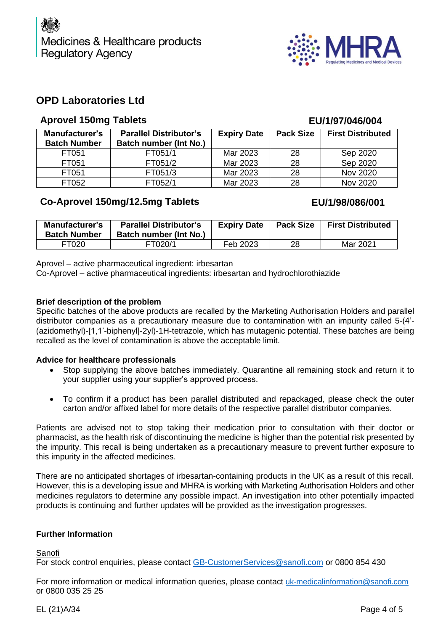

### **OPD Laboratories Ltd**

#### **Aprovel 150mg Tablets EU/1/97/046/004**

#### **Manufacturer's Batch Number Parallel Distributor's Batch number (Int No.) Expiry Date Pack Size First Distributed** FT051 | FT051/1 | Mar 2023 | 28 | Sep 2020 FT051 | FT051/2 | Mar 2023 | 28 | Sep 2020 FT051 FT051/3 Mar 2023 28 Nov 2020 FT052 | FT052/1 | Mar 2023 | 28 | Nov 2020

### **Co-Aprovel 150mg/12.5mg Tablets EU/1/98/086/001**

| Manufacturer's<br><b>Batch Number</b> | <b>Parallel Distributor's</b><br>Batch number (Int No.) | <b>Expiry Date</b> | <b>Pack Size</b> | <b>First Distributed</b> |
|---------------------------------------|---------------------------------------------------------|--------------------|------------------|--------------------------|
| FT020                                 | FT020/1                                                 | Feb 2023           | 28               | Mar 2021                 |

Aprovel – active pharmaceutical ingredient: irbesartan

Co-Aprovel – active pharmaceutical ingredients: irbesartan and hydrochlorothiazide

#### **Brief description of the problem**

Specific batches of the above products are recalled by the Marketing Authorisation Holders and parallel distributor companies as a precautionary measure due to contamination with an impurity called 5-(4'- (azidomethyl)-[1,1'-biphenyl]-2yl)-1H-tetrazole, which has mutagenic potential. These batches are being recalled as the level of contamination is above the acceptable limit.

#### **Advice for healthcare professionals**

- Stop supplying the above batches immediately. Quarantine all remaining stock and return it to your supplier using your supplier's approved process.
- To confirm if a product has been parallel distributed and repackaged, please check the outer carton and/or affixed label for more details of the respective parallel distributor companies.

Patients are advised not to stop taking their medication prior to consultation with their doctor or pharmacist, as the health risk of discontinuing the medicine is higher than the potential risk presented by the impurity. This recall is being undertaken as a precautionary measure to prevent further exposure to this impurity in the affected medicines.

There are no anticipated shortages of irbesartan-containing products in the UK as a result of this recall. However, this is a developing issue and MHRA is working with Marketing Authorisation Holders and other medicines regulators to determine any possible impact. An investigation into other potentially impacted products is continuing and further updates will be provided as the investigation progresses.

#### **Further Information**

Sanofi

For stock control enquiries, please contact [GB-CustomerServices@sanofi.com](mailto:GB-CustomerServices@sanofi.com) or 0800 854 430

For more information or medical information queries, please contact [uk-medicalinformation@sanofi.com](mailto:uk-medicalinformation@sanofi.com) or 0800 035 25 25